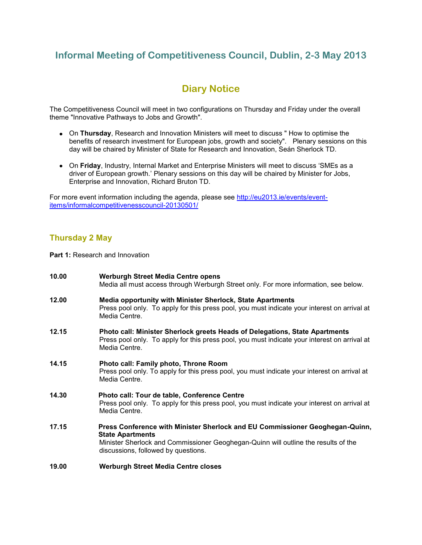# **Informal Meeting of Competitiveness Council, Dublin, 2-3 May 2013**

# **Diary Notice**

The Competitiveness Council will meet in two configurations on Thursday and Friday under the overall theme "Innovative Pathways to Jobs and Growth".

- On **Thursday**, Research and Innovation Ministers will meet to discuss " How to optimise the benefits of research investment for European jobs, growth and society". Plenary sessions on this day will be chaired by Minister of State for Research and Innovation, Seán Sherlock TD.
- On **Friday**, Industry, Internal Market and Enterprise Ministers will meet to discuss 'SMEs as a driver of European growth.' Plenary sessions on this day will be chaired by Minister for Jobs, Enterprise and Innovation, Richard Bruton TD.

For more event information including the agenda, please see [http://eu2013.ie/events/event](http://eu2013.ie/events/event-items/informalcompetitivenesscouncil-20130501/)[items/informalcompetitivenesscouncil-20130501/](http://eu2013.ie/events/event-items/informalcompetitivenesscouncil-20130501/)

# **Thursday 2 May**

**Part 1: Research and Innovation** 

**10.00 Werburgh Street Media Centre opens** Media all must access through Werburgh Street only. For more information, see below. **12.00 Media opportunity with Minister Sherlock, State Apartments**  Press pool only. To apply for this press pool, you must indicate your interest on arrival at Media Centre. **12.15 Photo call: Minister Sherlock greets Heads of Delegations, State Apartments** Press pool only. To apply for this press pool, you must indicate your interest on arrival at Media Centre. **14.15 Photo call: Family photo, Throne Room**  Press pool only. To apply for this press pool, you must indicate your interest on arrival at Media Centre. **14.30 Photo call: Tour de table, Conference Centre**  Press pool only. To apply for this press pool, you must indicate your interest on arrival at Media Centre. **17.15 Press Conference with Minister Sherlock and EU Commissioner Geoghegan-Quinn, State Apartments** Minister Sherlock and Commissioner Geoghegan-Quinn will outline the results of the discussions, followed by questions. **19.00 Werburgh Street Media Centre closes**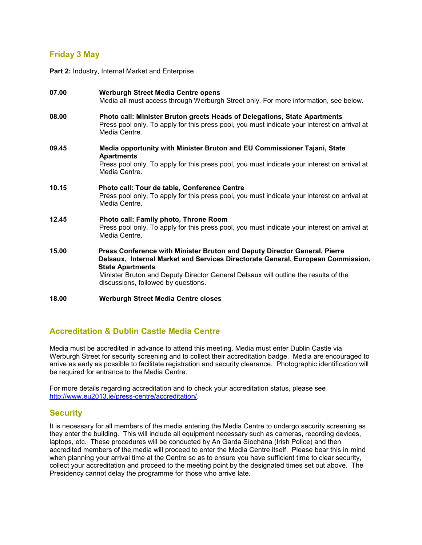# **Friday 3 May**

Part 2: Industry, Internal Market and Enterprise

| 07.00 | <b>Werburgh Street Media Centre opens</b><br>Media all must access through Werburgh Street only. For more information, see below.                                                                                                                                                                                     |
|-------|-----------------------------------------------------------------------------------------------------------------------------------------------------------------------------------------------------------------------------------------------------------------------------------------------------------------------|
| 08.00 | Photo call: Minister Bruton greets Heads of Delegations, State Apartments<br>Press pool only. To apply for this press pool, you must indicate your interest on arrival at<br>Media Centre.                                                                                                                            |
| 09.45 | Media opportunity with Minister Bruton and EU Commissioner Tajani, State<br><b>Apartments</b><br>Press pool only. To apply for this press pool, you must indicate your interest on arrival at<br>Media Centre.                                                                                                        |
| 10.15 | Photo call: Tour de table, Conference Centre<br>Press pool only. To apply for this press pool, you must indicate your interest on arrival at<br>Media Centre.                                                                                                                                                         |
| 12.45 | Photo call: Family photo, Throne Room<br>Press pool only. To apply for this press pool, you must indicate your interest on arrival at<br>Media Centre.                                                                                                                                                                |
| 15.00 | Press Conference with Minister Bruton and Deputy Director General, Pierre<br>Delsaux, Internal Market and Services Directorate General, European Commission,<br><b>State Apartments</b><br>Minister Bruton and Deputy Director General Delsaux will outline the results of the<br>discussions, followed by questions. |
| 18.00 | Werburgh Street Media Centre closes                                                                                                                                                                                                                                                                                   |

## **Accreditation & Dublin Castle Media Centre**

Media must be accredited in advance to attend this meeting. Media must enter Dublin Castle via Werburgh Street for security screening and to collect their accreditation badge. Media are encouraged to arrive as early as possible to facilitate registration and security clearance. Photographic identification will be required for entrance to the Media Centre.

For more details regarding accreditation and to check your accreditation status, please see [http://www.eu2013.ie/press-centre/accreditation/.](http://www.eu2013.ie/press-centre/accreditation/)

## **Security**

It is necessary for all members of the media entering the Media Centre to undergo security screening as they enter the building. This will include all equipment necessary such as cameras, recording devices, laptops, etc. These procedures will be conducted by An Garda Síochána (Irish Police) and then accredited members of the media will proceed to enter the Media Centre itself. Please bear this in mind when planning your arrival time at the Centre so as to ensure you have sufficient time to clear security, collect your accreditation and proceed to the meeting point by the designated times set out above. The Presidency cannot delay the programme for those who arrive late.